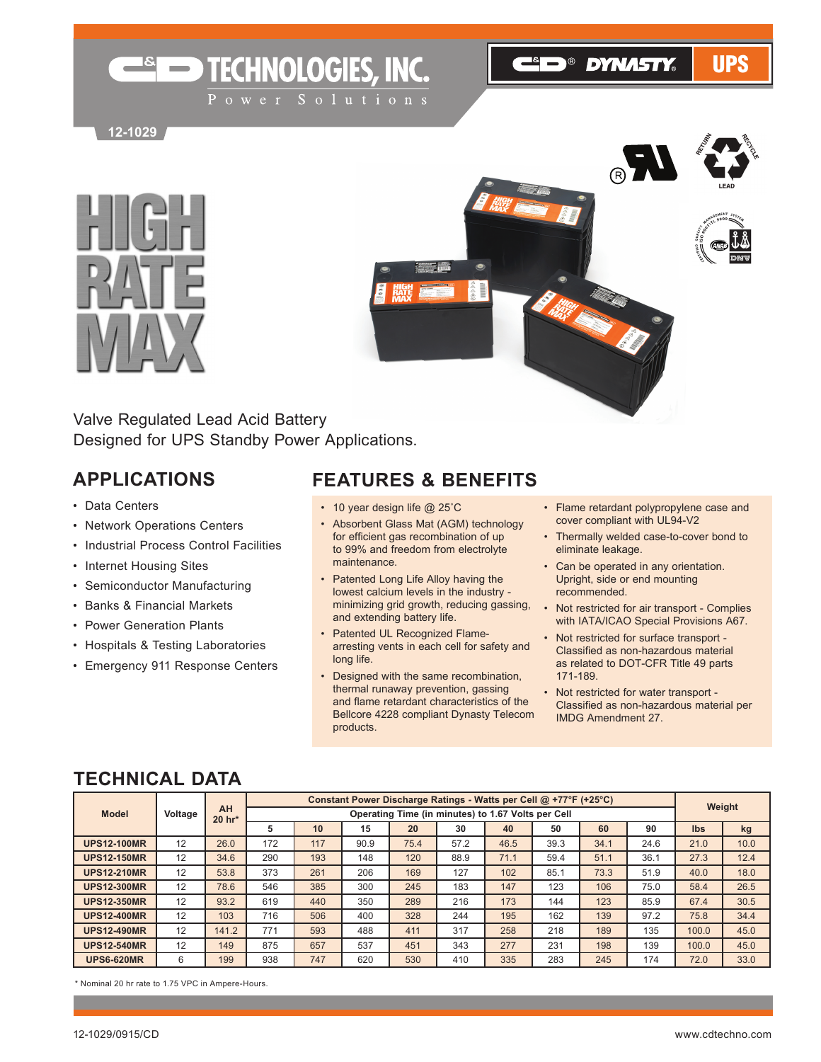**ELD® DYNASTY®** 

**UPS** 

**12-1029**





Valve Regulated Lead Acid Battery Designed for UPS Standby Power Applications.

**ESED TECHNOLOGIES, INC.** 

### **APPLICATIONS**

- • Data Centers
- • Network Operations Centers
- • Industrial Process Control Facilities
- Internet Housing Sites
- • Semiconductor Manufacturing
- • Banks & Financial Markets
- • Power Generation Plants
- • Hospitals & Testing Laboratories
- • Emergency 911 Response Centers

#### **FEATURES & BENEFITS**

- 10 year design life @ 25°C
- • Absorbent Glass Mat (AGM) technology for efficient gas recombination of up to 99% and freedom from electrolyte maintenance.
- Patented Long Life Alloy having the lowest calcium levels in the industry minimizing grid growth, reducing gassing, and extending battery life.
- Patented UL Recognized Flamearresting vents in each cell for safety and long life.
- • Designed with the same recombination, thermal runaway prevention, gassing and flame retardant characteristics of the Bellcore 4228 compliant Dynasty Telecom products.
- • Flame retardant polypropylene case and cover compliant with UL94-V2
- • Thermally welded case-to-cover bond to eliminate leakage.
- Can be operated in any orientation. Upright, side or end mounting recommended.
- Not restricted for air transport Complies with IATA/ICAO Special Provisions A67.
- • Not restricted for surface transport Classified as non-hazardous material as related to DOT-CFR Title 49 parts 171-189.
- • Not restricted for water transport Classified as non-hazardous material per IMDG Amendment 27.

|                    | AH      |        |     | Constant Power Discharge Ratings - Watts per Cell @ +77°F (+25°C) |      |      |      |                                                    |      |      |      |            |      |  |
|--------------------|---------|--------|-----|-------------------------------------------------------------------|------|------|------|----------------------------------------------------|------|------|------|------------|------|--|
| <b>Model</b>       | Voltage | 20 hr* |     |                                                                   |      |      |      | Operating Time (in minutes) to 1.67 Volts per Cell |      |      |      | Weight     |      |  |
|                    |         |        | 5   | 10                                                                | 15   | 20   | 30   | 40                                                 | 50   | 60   | 90   | <b>Ibs</b> | kg   |  |
| <b>UPS12-100MR</b> | 12      | 26.0   | 172 | 117                                                               | 90.9 | 75.4 | 57.2 | 46.5                                               | 39.3 | 34.1 | 24.6 | 21.0       | 10.0 |  |
| <b>UPS12-150MR</b> | 12      | 34.6   | 290 | 193                                                               | 148  | 120  | 88.9 | 71.1                                               | 59.4 | 51.1 | 36.1 | 27.3       | 12.4 |  |
| <b>UPS12-210MR</b> | 12      | 53.8   | 373 | 261                                                               | 206  | 169  | 127  | 102                                                | 85.1 | 73.3 | 51.9 | 40.0       | 18.0 |  |
| <b>UPS12-300MR</b> | 12      | 78.6   | 546 | 385                                                               | 300  | 245  | 183  | 147                                                | 123  | 106  | 75.0 | 58.4       | 26.5 |  |
| <b>UPS12-350MR</b> | 12      | 93.2   | 619 | 440                                                               | 350  | 289  | 216  | 173                                                | 144  | 123  | 85.9 | 67.4       | 30.5 |  |
| <b>UPS12-400MR</b> | 12      | 103    | 716 | 506                                                               | 400  | 328  | 244  | 195                                                | 162  | 139  | 97.2 | 75.8       | 34.4 |  |
| <b>UPS12-490MR</b> | 12      | 141.2  | 771 | 593                                                               | 488  | 411  | 317  | 258                                                | 218  | 189  | 135  | 100.0      | 45.0 |  |
| <b>UPS12-540MR</b> | 12      | 149    | 875 | 657                                                               | 537  | 451  | 343  | 277                                                | 231  | 198  | 139  | 100.0      | 45.0 |  |
| <b>UPS6-620MR</b>  | 6       | 199    | 938 | 747                                                               | 620  | 530  | 410  | 335                                                | 283  | 245  | 174  | 72.0       | 33.0 |  |
|                    |         |        |     |                                                                   |      |      |      |                                                    |      |      |      |            |      |  |

### **TECHNICAL DATA**

\* Nominal 20 hr rate to 1.75 VPC in Ampere-Hours.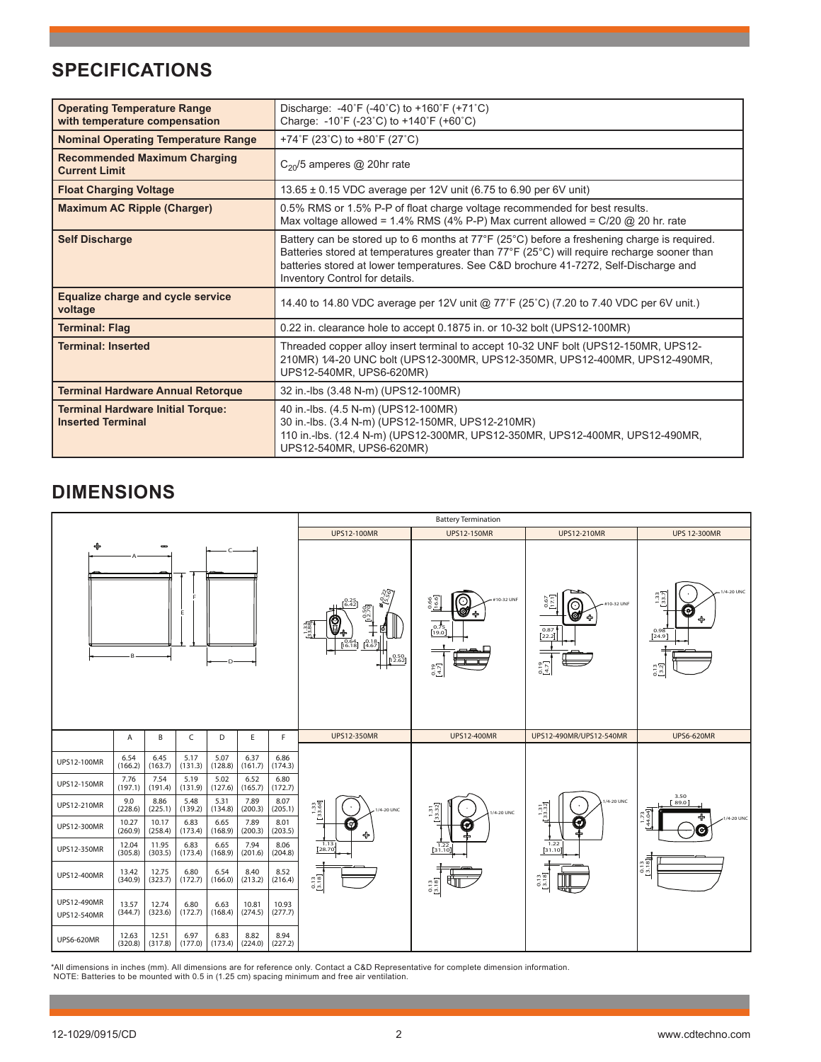# **SPECIFICATIONS**

| <b>Operating Temperature Range</b>                                   | Discharge: $-40^{\circ}F$ ( $-40^{\circ}C$ ) to $+160^{\circ}F$ ( $+71^{\circ}C$ )                                                                                                                                                                                                                                                  |
|----------------------------------------------------------------------|-------------------------------------------------------------------------------------------------------------------------------------------------------------------------------------------------------------------------------------------------------------------------------------------------------------------------------------|
| with temperature compensation                                        | Charge: $-10^{\circ}F$ ( $-23^{\circ}C$ ) to $+140^{\circ}F$ ( $+60^{\circ}C$ )                                                                                                                                                                                                                                                     |
| <b>Nominal Operating Temperature Range</b>                           | +74°F (23°C) to +80°F (27°C)                                                                                                                                                                                                                                                                                                        |
| <b>Recommended Maximum Charging</b><br><b>Current Limit</b>          | $C_{20}/5$ amperes @ 20hr rate                                                                                                                                                                                                                                                                                                      |
| <b>Float Charging Voltage</b>                                        | 13.65 ± 0.15 VDC average per 12V unit (6.75 to 6.90 per 6V unit)                                                                                                                                                                                                                                                                    |
| <b>Maximum AC Ripple (Charger)</b>                                   | 0.5% RMS or 1.5% P-P of float charge voltage recommended for best results.<br>Max voltage allowed = $1.4\%$ RMS (4% P-P) Max current allowed = $C/20$ @ 20 hr. rate                                                                                                                                                                 |
| <b>Self Discharge</b>                                                | Battery can be stored up to 6 months at $77^{\circ}F(25^{\circ}C)$ before a freshening charge is required.<br>Batteries stored at temperatures greater than 77°F (25°C) will require recharge sooner than<br>batteries stored at lower temperatures. See C&D brochure 41-7272, Self-Discharge and<br>Inventory Control for details. |
| Equalize charge and cycle service<br>voltage                         | 14.40 to 14.80 VDC average per 12V unit @ 77°F (25°C) (7.20 to 7.40 VDC per 6V unit.)                                                                                                                                                                                                                                               |
| <b>Terminal: Flag</b>                                                | 0.22 in. clearance hole to accept 0.1875 in. or 10-32 bolt (UPS12-100MR)                                                                                                                                                                                                                                                            |
| <b>Terminal: Inserted</b>                                            | Threaded copper alloy insert terminal to accept 10-32 UNF bolt (UPS12-150MR, UPS12-<br>210MR) 1/4-20 UNC bolt (UPS12-300MR, UPS12-350MR, UPS12-400MR, UPS12-490MR,<br>UPS12-540MR, UPS6-620MR)                                                                                                                                      |
| <b>Terminal Hardware Annual Retorque</b>                             | 32 in.-lbs (3.48 N-m) (UPS12-100MR)                                                                                                                                                                                                                                                                                                 |
| <b>Terminal Hardware Initial Torque:</b><br><b>Inserted Terminal</b> | 40 in -lbs. (4.5 N-m) (UPS12-100MR)<br>30 in.-lbs. (3.4 N-m) (UPS12-150MR, UPS12-210MR)<br>110 in.-lbs. (12.4 N-m) (UPS12-300MR, UPS12-350MR, UPS12-400MR, UPS12-490MR,<br>UPS12-540MR, UPS6-620MR)                                                                                                                                 |

# **DIMENSIONS**



\*All dimensions in inches (mm). All dimensions are for reference only. Contact a C&D Representative for complete dimension information.<br>NOTE: Batteries to be mounted with 0.5 in (1.25 cm) spacing minimum and free air venti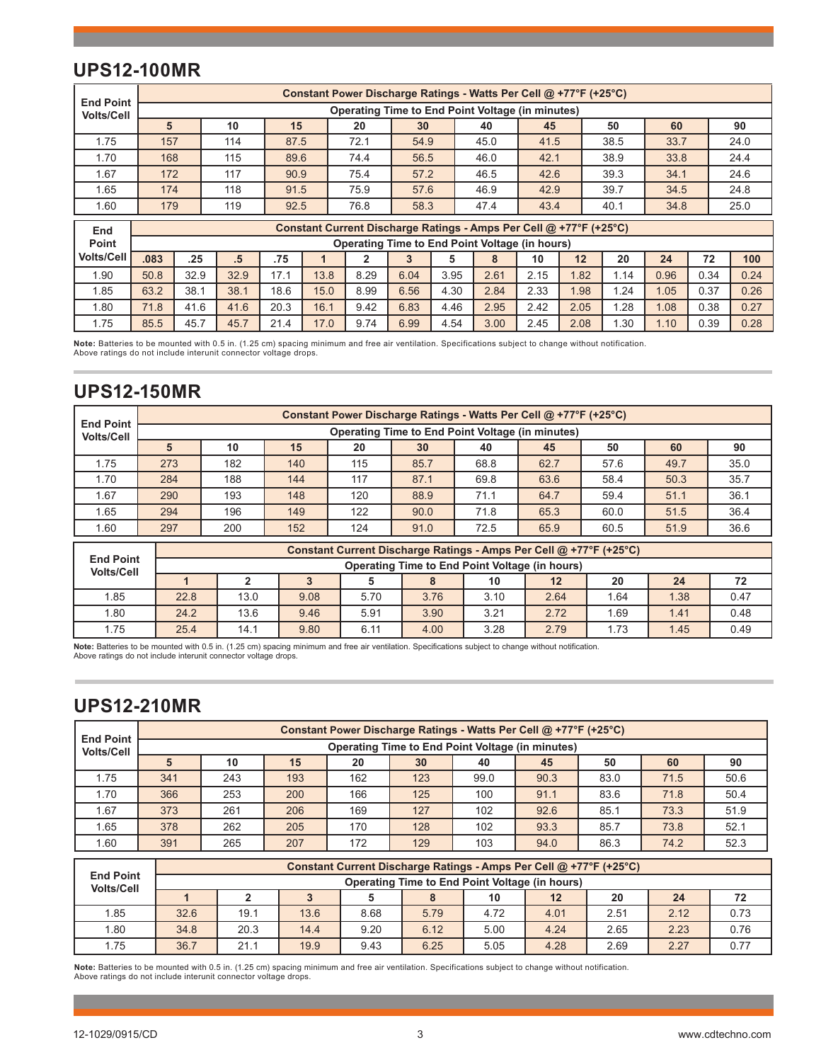## **UPS12-100MR**

| <b>End Point</b>  | Constant Power Discharge Ratings - Watts Per Cell @ +77°F (+25°C) |      |        |      |      |      |      |      |                                                                    |      |      |      |      |      |      |
|-------------------|-------------------------------------------------------------------|------|--------|------|------|------|------|------|--------------------------------------------------------------------|------|------|------|------|------|------|
| <b>Volts/Cell</b> |                                                                   |      |        |      |      |      |      |      | <b>Operating Time to End Point Voltage (in minutes)</b>            |      |      |      |      |      |      |
|                   | 5                                                                 |      | 10     | 15   |      | 20   | 30   |      | 40                                                                 | 45   |      | 50   | 60   |      | 90   |
| 1.75              | 157                                                               |      | 114    | 87.5 |      | 72.1 | 54.9 |      | 45.0                                                               | 41.5 |      | 38.5 | 33.7 |      | 24.0 |
| 1.70              | 168                                                               |      | 115    | 89.6 |      | 74.4 | 56.5 |      | 46.0                                                               | 42.1 |      | 38.9 | 33.8 |      | 24.4 |
| 1.67              | 172                                                               |      | 117    | 90.9 |      | 75.4 | 57.2 |      | 46.5                                                               | 42.6 |      | 39.3 | 34.1 |      | 24.6 |
| 1.65              | 174                                                               |      | 118    | 91.5 |      | 75.9 | 57.6 |      | 46.9                                                               | 42.9 |      | 39.7 | 34.5 |      | 24.8 |
| 1.60              | 179                                                               |      | 119    | 92.5 |      | 76.8 | 58.3 |      | 47.4                                                               | 43.4 |      | 40.1 | 34.8 |      | 25.0 |
| End               |                                                                   |      |        |      |      |      |      |      | Constant Current Discharge Ratings - Amps Per Cell @ +77°F (+25°C) |      |      |      |      |      |      |
| Point             |                                                                   |      |        |      |      |      |      |      | Operating Time to End Point Voltage (in hours)                     |      |      |      |      |      |      |
| <b>Volts/Cell</b> | .083                                                              | .25  | $.5\,$ | .75  |      | 2    | 3    | 5    | 8                                                                  | 10   | 12   | 20   | 24   | 72   | 100  |
| 1.90              | 50.8                                                              | 32.9 | 32.9   | 17.1 | 13.8 | 8.29 | 6.04 | 3.95 | 2.61                                                               | 2.15 | 1.82 | 1.14 | 0.96 | 0.34 | 0.24 |
| 1.85              | 63.2                                                              | 38.1 | 38.1   | 18.6 | 15.0 | 8.99 | 6.56 | 4.30 | 2.84                                                               | 2.33 | 1.98 | 1.24 | 1.05 | 0.37 | 0.26 |
| 1.80              | 71.8                                                              | 41.6 | 41.6   | 20.3 | 16.1 | 9.42 | 6.83 | 4.46 | 2.95                                                               | 2.42 | 2.05 | 1.28 | 1.08 | 0.38 | 0.27 |
| 1.75              | 85.5                                                              | 45.7 | 45.7   | 21.4 | 17.0 | 9.74 | 6.99 | 4.54 | 3.00                                                               | 2.45 | 2.08 | 1.30 | 1.10 | 0.39 | 0.28 |

**Note:** Batteries to be mounted with 0.5 in. (1.25 cm) spacing minimum and free air ventilation. Specifications subject to change without notification. Above ratings do not include interunit connector voltage drops.

### **UPS12-150MR**

| <b>End Point</b>                      | Constant Power Discharge Ratings - Watts Per Cell @ +77°F (+25°C) |                                                                      |     |                                                                    |      |      |      |      |      |      |  |  |  |  |
|---------------------------------------|-------------------------------------------------------------------|----------------------------------------------------------------------|-----|--------------------------------------------------------------------|------|------|------|------|------|------|--|--|--|--|
| <b>Volts/Cell</b>                     |                                                                   | <b>Operating Time to End Point Voltage (in minutes)</b>              |     |                                                                    |      |      |      |      |      |      |  |  |  |  |
|                                       | 5                                                                 | 10                                                                   | 15  | 20                                                                 | 30   | 40   | 45   | 50   | 60   | 90   |  |  |  |  |
| 1.75                                  | 273                                                               | 182                                                                  | 140 | 115                                                                | 85.7 | 68.8 | 62.7 | 57.6 | 49.7 | 35.0 |  |  |  |  |
| 1.70                                  | 284                                                               | 188                                                                  | 144 | 117                                                                | 87.1 | 69.8 | 63.6 | 58.4 | 50.3 | 35.7 |  |  |  |  |
| 1.67                                  | 290                                                               | 193                                                                  | 148 | 120                                                                | 88.9 | 71.1 | 64.7 | 59.4 | 51.1 | 36.1 |  |  |  |  |
| 1.65                                  | 294                                                               | 196                                                                  | 149 | 122                                                                | 90.0 | 71.8 | 65.3 | 60.0 | 51.5 | 36.4 |  |  |  |  |
| 1.60                                  | 297                                                               | 200                                                                  | 152 | 124                                                                | 91.0 | 72.5 | 65.9 | 60.5 | 51.9 | 36.6 |  |  |  |  |
|                                       |                                                                   |                                                                      |     | Constant Current Discharge Ratings - Amps Per Cell @ +77°F (+25°C) |      |      |      |      |      |      |  |  |  |  |
| <b>End Point</b><br><b>Volts/Cell</b> |                                                                   | Operating Time to End Point Voltage (in hours)                       |     |                                                                    |      |      |      |      |      |      |  |  |  |  |
|                                       |                                                                   | 2                                                                    | 3   | 5                                                                  | 8    | 10   | 12   | 20   | 24   | 72   |  |  |  |  |
| 1.85                                  | 22.8                                                              | 13.0<br>9.08<br>3.76<br>3.10<br>1.38<br>5.70<br>2.64<br>1.64<br>0.47 |     |                                                                    |      |      |      |      |      |      |  |  |  |  |

1.80 | 24.2 | 13.6 | 9.46 | 5.91 | 3.9<mark>0 |</mark> 3.21 | 2.72 | 1.69 | 1.41 | 0.48 1.75 | 25.4 | 14.1 | 9.80 | 6.11 | 4.00 | 3.28 | 2.79 | 1.73 | 1.45 | 0.49

**Note:** Batteries to be mounted with 0.5 in. (1.25 cm) spacing minimum and free air ventilation. Specifications subject to change without notification.<br>Above ratings do not include interunit connector voltage drops.

### **UPS12-210MR**

| <b>End Point</b>  |     |     |     |     |     |      | Constant Power Discharge Ratings - Watts Per Cell @ +77°F (+25°C) |      |      |      |
|-------------------|-----|-----|-----|-----|-----|------|-------------------------------------------------------------------|------|------|------|
| <b>Volts/Cell</b> |     |     |     |     |     |      | <b>Operating Time to End Point Voltage (in minutes)</b>           |      |      |      |
|                   |     | 10  | 15  | 20  | 30  | 40   | 45                                                                | 50   | 60   | 90   |
| 1.75              | 341 | 243 | 193 | 162 | 123 | 99.0 | 90.3                                                              | 83.0 | 71.5 | 50.6 |
| 1.70              | 366 | 253 | 200 | 166 | 125 | 100  | 91.1                                                              | 83.6 | 71.8 | 50.4 |
| 1.67              | 373 | 261 | 206 | 169 | 127 | 102  | 92.6                                                              | 85.1 | 73.3 | 51.9 |
| .65               | 378 | 262 | 205 | 170 | 128 | 102  | 93.3                                                              | 85.7 | 73.8 | 52.1 |
| 1.60              | 391 | 265 | 207 | 172 | 129 | 103  | 94.0                                                              | 86.3 | 74.2 | 52.3 |

|                                       | Constant Current Discharge Ratings - Amps Per Cell @ +77°F (+25°C) |                                                                      |      |      |                                                |      |      |      |      |      |  |  |  |
|---------------------------------------|--------------------------------------------------------------------|----------------------------------------------------------------------|------|------|------------------------------------------------|------|------|------|------|------|--|--|--|
| <b>End Point</b><br><b>Volts/Cell</b> |                                                                    |                                                                      |      |      | Operating Time to End Point Voltage (in hours) |      |      |      |      |      |  |  |  |
|                                       |                                                                    | 20<br>72<br>10<br>$12 \overline{ }$<br>24                            |      |      |                                                |      |      |      |      |      |  |  |  |
| 1.85                                  | 32.6                                                               | 0.73<br>19.1<br>8.68<br>4.72<br>4.01<br>2.12<br>13.6<br>2.51<br>5.79 |      |      |                                                |      |      |      |      |      |  |  |  |
| 1.80                                  | 34.8                                                               | 20.3                                                                 | 14.4 | 9.20 | 6.12                                           | 5.00 | 4.24 | 2.65 | 2.23 | 0.76 |  |  |  |
| 1.75                                  | 36.7                                                               | 0.77<br>4.28<br>21.1<br>9.43<br>6.25<br>5.05<br>2.69<br>2.27<br>19.9 |      |      |                                                |      |      |      |      |      |  |  |  |

**Note:** Batteries to be mounted with 0.5 in. (1.25 cm) spacing minimum and free air ventilation. Specifications subject to change without notification.<br>Above ratings do not include interunit connector voltage drops.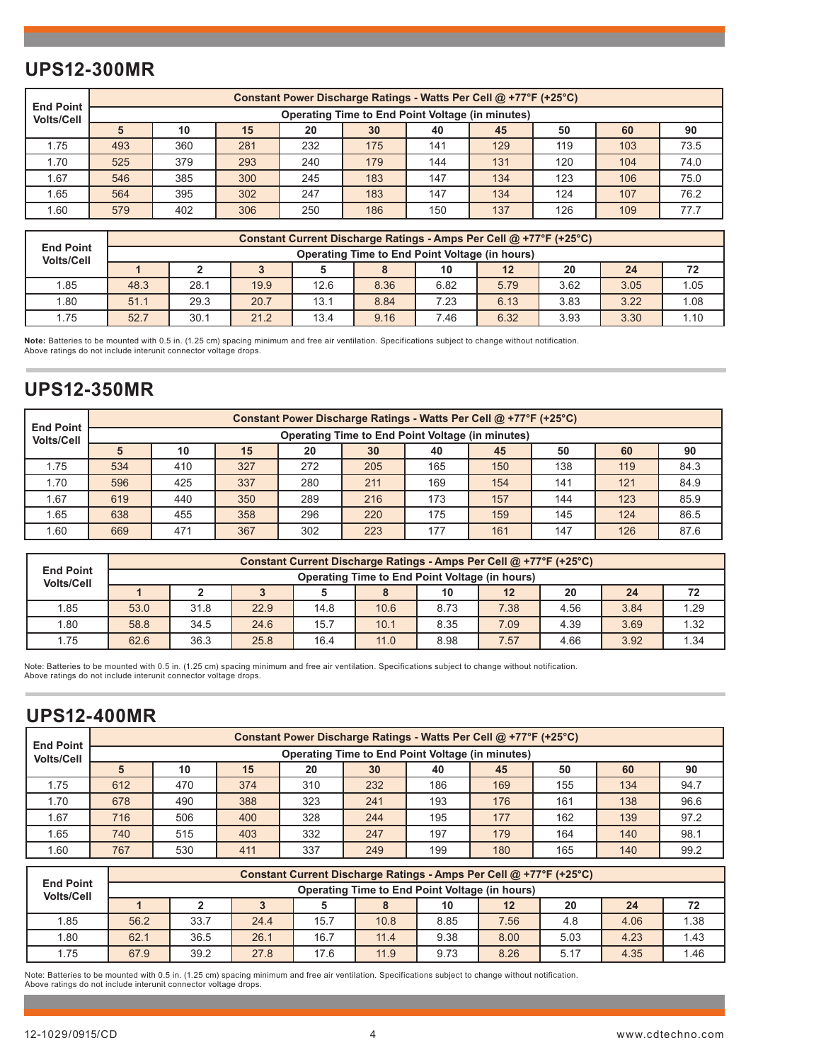## **UPS12-300MR**

| <b>End Point</b>  |     |     |     |     |     |     | Constant Power Discharge Ratings - Watts Per Cell @ +77°F (+25°C) |     |     |      |
|-------------------|-----|-----|-----|-----|-----|-----|-------------------------------------------------------------------|-----|-----|------|
| <b>Volts/Cell</b> |     |     |     |     |     |     | <b>Operating Time to End Point Voltage (in minutes)</b>           |     |     |      |
|                   |     | 10  | 15  | 20  | 30  | 40  | 45                                                                | 50  | 60  | 90   |
| 1.75              | 493 | 360 | 281 | 232 | 175 | 141 | 129                                                               | 119 | 103 | 73.5 |
| 1.70              | 525 | 379 | 293 | 240 | 179 | 144 | 131                                                               | 120 | 104 | 74.0 |
| 1.67              | 546 | 385 | 300 | 245 | 183 | 147 | 134                                                               | 123 | 106 | 75.0 |
| 1.65              | 564 | 395 | 302 | 247 | 183 | 147 | 134                                                               | 124 | 107 | 76.2 |
| 1.60              | 579 | 402 | 306 | 250 | 186 | 150 | 137                                                               | 126 | 109 | 77.7 |

|                                       |      |                                                                      |      |      |                                                |      | Constant Current Discharge Ratings - Amps Per Cell @ +77°F (+25°C) |      |      |      |  |  |  |
|---------------------------------------|------|----------------------------------------------------------------------|------|------|------------------------------------------------|------|--------------------------------------------------------------------|------|------|------|--|--|--|
| <b>End Point</b><br><b>Volts/Cell</b> |      |                                                                      |      |      | Operating Time to End Point Voltage (in hours) |      |                                                                    |      |      |      |  |  |  |
|                                       |      | 20<br>72<br>10<br>12<br>24                                           |      |      |                                                |      |                                                                    |      |      |      |  |  |  |
| 1.85                                  | 48.3 | 1.05<br>28.1<br>8.36<br>6.82<br>3.62<br>19.9<br>12.6<br>5.79<br>3.05 |      |      |                                                |      |                                                                    |      |      |      |  |  |  |
| 1.80                                  | 51.1 | 29.3                                                                 | 20.7 | 13.1 | 8.84                                           | 7.23 | 6.13                                                               | 3.83 | 3.22 | 1.08 |  |  |  |
| 1.75                                  | 52.7 | 1.10<br>6.32<br>3.30<br>3.93<br>30.1<br>21.2<br>9.16<br>13.4<br>7.46 |      |      |                                                |      |                                                                    |      |      |      |  |  |  |

**Note:** Batteries to be mounted with 0.5 in. (1.25 cm) spacing minimum and free air ventilation. Specifications subject to change without notification.<br>Above ratings do not include interunit connector voltage drops.

### **UPS12-350MR**

| <b>End Point</b>  |     |     |     |     | Constant Power Discharge Ratings - Watts Per Cell @ +77°F (+25°C) |     |     |     |     |      |
|-------------------|-----|-----|-----|-----|-------------------------------------------------------------------|-----|-----|-----|-----|------|
| <b>Volts/Cell</b> |     |     |     |     | <b>Operating Time to End Point Voltage (in minutes)</b>           |     |     |     |     |      |
|                   |     | 10  | 15  | 20  | 30                                                                | 40  | 45  | 50  | 60  | 90   |
| 1.75              | 534 | 410 | 327 | 272 | 205                                                               | 165 | 150 | 138 | 119 | 84.3 |
| 1.70              | 596 | 425 | 337 | 280 | 211                                                               | 169 | 154 | 141 | 121 | 84.9 |
| 1.67              | 619 | 440 | 350 | 289 | 216                                                               | 173 | 157 | 144 | 123 | 85.9 |
| 1.65              | 638 | 455 | 358 | 296 | 220                                                               | 175 | 159 | 145 | 124 | 86.5 |
| 1.60              | 669 | 471 | 367 | 302 | 223                                                               | 177 | 161 | 147 | 126 | 87.6 |

|                                       |      |                                                                      |      |      |                                                |      | Constant Current Discharge Ratings - Amps Per Cell @ +77°F (+25°C) |      |      |      |  |  |  |
|---------------------------------------|------|----------------------------------------------------------------------|------|------|------------------------------------------------|------|--------------------------------------------------------------------|------|------|------|--|--|--|
| <b>End Point</b><br><b>Volts/Cell</b> |      |                                                                      |      |      | Operating Time to End Point Voltage (in hours) |      |                                                                    |      |      |      |  |  |  |
|                                       |      | 20<br>10<br>$12 \overline{ }$<br>72<br>24                            |      |      |                                                |      |                                                                    |      |      |      |  |  |  |
| 1.85                                  | 53.0 | 1.29<br>8.73<br>7.38<br>31.8<br>10.6<br>3.84<br>22.9<br>4.56<br>14.8 |      |      |                                                |      |                                                                    |      |      |      |  |  |  |
| 1.80                                  | 58.8 | 34.5                                                                 | 24.6 | 15.7 | 10.1                                           | 8.35 | 7.09                                                               | 4.39 | 3.69 | 1.32 |  |  |  |
| 1.75                                  | 62.6 | .34<br>36.3<br>3.92<br>8.98<br>7.57<br>25.8<br>4.66<br>16.4<br>11.0  |      |      |                                                |      |                                                                    |      |      |      |  |  |  |

Note: Batteries to be mounted with 0.5 in. (1.25 cm) spacing minimum and free air ventilation. Specifications subject to change without notification. Above ratings do not include interunit connector voltage drops.

## **UPS12-400MR**

| <b>End Point</b>  |     |     |     |     | Constant Power Discharge Ratings - Watts Per Cell @ +77°F (+25°C) |     |     |     |     |      |
|-------------------|-----|-----|-----|-----|-------------------------------------------------------------------|-----|-----|-----|-----|------|
| <b>Volts/Cell</b> |     |     |     |     | <b>Operating Time to End Point Voltage (in minutes)</b>           |     |     |     |     |      |
|                   |     | 10  | 15  | 20  | 30                                                                | 40  | 45  | 50  | 60  | 90   |
| 1.75              | 612 | 470 | 374 | 310 | 232                                                               | 186 | 169 | 155 | 134 | 94.7 |
| 1.70              | 678 | 490 | 388 | 323 | 241                                                               | 193 | 176 | 161 | 138 | 96.6 |
| .67               | 716 | 506 | 400 | 328 | 244                                                               | 195 | 177 | 162 | 139 | 97.2 |
| . 65              | 740 | 515 | 403 | 332 | 247                                                               | 197 | 179 | 164 | 140 | 98.1 |
| .60               | 767 | 530 | 411 | 337 | 249                                                               | 199 | 180 | 165 | 140 | 99.2 |

|                                       | Constant Current Discharge Ratings - Amps Per Cell @ +77°F (+25°C) |                                                                      |      |      |                                                |      |      |      |      |      |  |  |  |
|---------------------------------------|--------------------------------------------------------------------|----------------------------------------------------------------------|------|------|------------------------------------------------|------|------|------|------|------|--|--|--|
| <b>End Point</b><br><b>Volts/Cell</b> |                                                                    |                                                                      |      |      | Operating Time to End Point Voltage (in hours) |      |      |      |      |      |  |  |  |
|                                       |                                                                    | 20<br>12<br>10<br>72<br>24                                           |      |      |                                                |      |      |      |      |      |  |  |  |
| 1.85                                  | 56.2                                                               | 1.38<br>33.7<br>15.7<br>10.8<br>8.85<br>24.4<br>4.06<br>7.56<br>4.8  |      |      |                                                |      |      |      |      |      |  |  |  |
| 1.80                                  | 62.1                                                               | 36.5                                                                 | 26.1 | 16.7 | 11.4                                           | 9.38 | 8.00 | 5.03 | 4.23 | 1.43 |  |  |  |
| 1.75                                  | 67.9                                                               | 39.2<br>1.46<br>9.73<br>8.26<br>17.6<br>11.9<br>4.35<br>27.8<br>5.17 |      |      |                                                |      |      |      |      |      |  |  |  |

Note: Batteries to be mounted with 0.5 in. (1.25 cm) spacing minimum and free air ventilation. Specifications subject to change without notification. Above ratings do not include interunit connector voltage drops.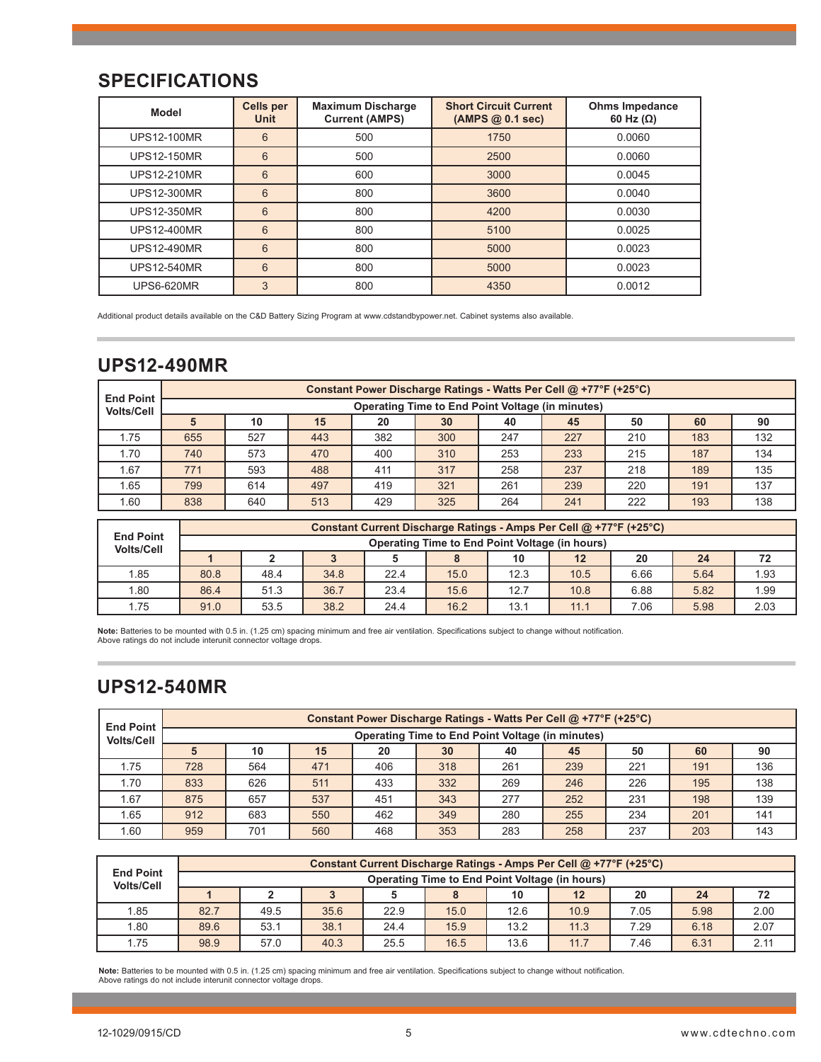## **SPECIFICATIONS**

| <b>Model</b>       | <b>Cells per</b><br><b>Unit</b> | <b>Maximum Discharge</b><br><b>Current (AMPS)</b> | <b>Short Circuit Current</b><br>(AMPS@0.1 sec) | <b>Ohms Impedance</b><br>60 Hz $(\Omega)$ |
|--------------------|---------------------------------|---------------------------------------------------|------------------------------------------------|-------------------------------------------|
| <b>UPS12-100MR</b> | 6                               | 500                                               | 1750                                           | 0.0060                                    |
| <b>UPS12-150MR</b> | 6                               | 500                                               | 2500                                           | 0.0060                                    |
| <b>UPS12-210MR</b> | 6                               | 600                                               | 3000                                           | 0.0045                                    |
| <b>UPS12-300MR</b> | 6                               | 800                                               | 3600                                           | 0.0040                                    |
| <b>UPS12-350MR</b> | 6                               | 800                                               | 4200                                           | 0.0030                                    |
| <b>UPS12-400MR</b> | 6                               | 800                                               | 5100                                           | 0.0025                                    |
| <b>UPS12-490MR</b> | 6                               | 800                                               | 5000                                           | 0.0023                                    |
| <b>UPS12-540MR</b> | 6                               | 800                                               | 5000                                           | 0.0023                                    |
| <b>UPS6-620MR</b>  | 3                               | 800                                               | 4350                                           | 0.0012                                    |

Additional product details available on the C&D Battery Sizing Program at www.cdstandbypower.net. Cabinet systems also available.

## **UPS12-490MR**

| <b>End Point</b>  |                                                  | Constant Power Discharge Ratings - Watts Per Cell @ +77°F (+25°C) |     |     |     |     |     |     |     |     |  |  |  |  |
|-------------------|--------------------------------------------------|-------------------------------------------------------------------|-----|-----|-----|-----|-----|-----|-----|-----|--|--|--|--|
| <b>Volts/Cell</b> | Operating Time to End Point Voltage (in minutes) |                                                                   |     |     |     |     |     |     |     |     |  |  |  |  |
|                   |                                                  | 10                                                                | 15  | 20  | 30  | 40  | 45  | 50  | 60  | 90  |  |  |  |  |
| 1.75              | 655                                              | 527                                                               | 443 | 382 | 300 | 247 | 227 | 210 | 183 | 132 |  |  |  |  |
| 1.70              | 740                                              | 573                                                               | 470 | 400 | 310 | 253 | 233 | 215 | 187 | 134 |  |  |  |  |
| .67               | 771                                              | 593                                                               | 488 | 411 | 317 | 258 | 237 | 218 | 189 | 135 |  |  |  |  |
| 1.65              | 799                                              | 614                                                               | 497 | 419 | 321 | 261 | 239 | 220 | 191 | 137 |  |  |  |  |
| .60               | 838                                              | 640                                                               | 513 | 429 | 325 | 264 | 241 | 222 | 193 | 138 |  |  |  |  |

|                                       | Constant Current Discharge Ratings - Amps Per Cell @ +77°F (+25°C) |                                                |      |      |      |      |      |      |      |      |  |  |
|---------------------------------------|--------------------------------------------------------------------|------------------------------------------------|------|------|------|------|------|------|------|------|--|--|
| <b>End Point</b><br><b>Volts/Cell</b> |                                                                    | Operating Time to End Point Voltage (in hours) |      |      |      |      |      |      |      |      |  |  |
|                                       |                                                                    |                                                |      |      |      | 10   | 12   | 20   | 24   | 72   |  |  |
| 1.85                                  | 80.8                                                               | 48.4                                           | 34.8 | 22.4 | 15.0 | 12.3 | 10.5 | 6.66 | 5.64 | 1.93 |  |  |
| 1.80                                  | 86.4                                                               | 51.3                                           | 36.7 | 23.4 | 15.6 | 12.7 | 10.8 | 6.88 | 5.82 | 1.99 |  |  |
| 1.75                                  | 91.0                                                               | 53.5                                           | 38.2 | 24.4 | 16.2 | 13.1 | 11.1 | 7.06 | 5.98 | 2.03 |  |  |

**Note:** Batteries to be mounted with 0.5 in. (1.25 cm) spacing minimum and free air ventilation. Specifications subject to change without notification. Above ratings do not include interunit connector voltage drops.

# **UPS12-540MR**

| <b>End Point</b>  |     | Constant Power Discharge Ratings - Watts Per Cell @ +77°F (+25°C) |     |     |     |     |     |     |     |     |  |  |  |  |
|-------------------|-----|-------------------------------------------------------------------|-----|-----|-----|-----|-----|-----|-----|-----|--|--|--|--|
| <b>Volts/Cell</b> |     | <b>Operating Time to End Point Voltage (in minutes)</b>           |     |     |     |     |     |     |     |     |  |  |  |  |
|                   |     | 10                                                                | 15  | 20  | 30  | 40  | 45  | 50  | 60  | 90  |  |  |  |  |
| 1.75              | 728 | 564                                                               | 471 | 406 | 318 | 261 | 239 | 221 | 191 | 136 |  |  |  |  |
| 1.70              | 833 | 626                                                               | 511 | 433 | 332 | 269 | 246 | 226 | 195 | 138 |  |  |  |  |
| 1.67              | 875 | 657                                                               | 537 | 451 | 343 | 277 | 252 | 231 | 198 | 139 |  |  |  |  |
| 1.65              | 912 | 683                                                               | 550 | 462 | 349 | 280 | 255 | 234 | 201 | 141 |  |  |  |  |
| 1.60              | 959 | 701                                                               | 560 | 468 | 353 | 283 | 258 | 237 | 203 | 143 |  |  |  |  |

|                                       |      | Constant Current Discharge Ratings - Amps Per Cell @ +77°F (+25°C) |      |      |      |      |                   |      |      |      |  |
|---------------------------------------|------|--------------------------------------------------------------------|------|------|------|------|-------------------|------|------|------|--|
| <b>End Point</b><br><b>Volts/Cell</b> |      | Operating Time to End Point Voltage (in hours)                     |      |      |      |      |                   |      |      |      |  |
|                                       |      |                                                                    |      |      |      | 10   | $12 \overline{ }$ | 20   | 24   | 72   |  |
| 1.85                                  | 82.7 | 49.5                                                               | 35.6 | 22.9 | 15.0 | 12.6 | 10.9              | 7.05 | 5.98 | 2.00 |  |
| 1.80                                  | 89.6 | 53.1                                                               | 38.1 | 24.4 | 15.9 | 13.2 | 11.3              | 7.29 | 6.18 | 2.07 |  |
| 1.75                                  | 98.9 | 57.0                                                               | 40.3 | 25.5 | 16.5 | 13.6 | 11.7              | 7.46 | 6.31 | 2.11 |  |

**Note:** Batteries to be mounted with 0.5 in. (1.25 cm) spacing minimum and free air ventilation. Specifications subject to change without notification.<br>Above ratings do not include interunit connector voltage drops.